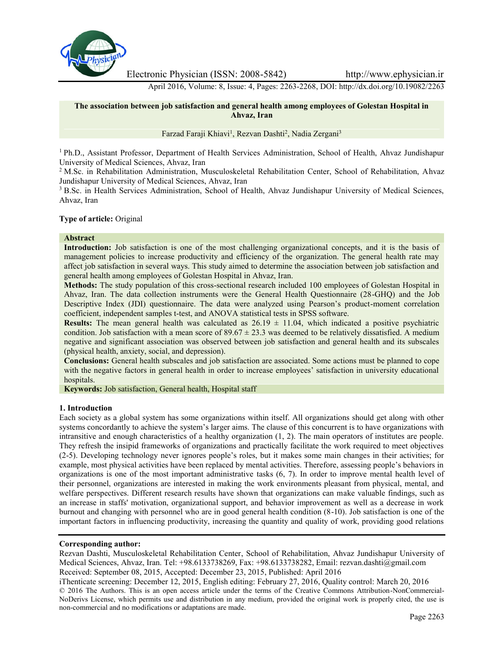

Electronic Physician (ISSN: 2008-5842) http://www.ephysician.ir

April 2016, Volume: 8, Issue: 4, Pages: 2263-2268, DOI: http://dx.doi.org/10.19082/2263

# **The association between job satisfaction and general health among employees of Golestan Hospital in Ahvaz, Iran**

Farzad Faraji Khiavi<sup>1</sup>, Rezvan Dashti<sup>2</sup>, Nadia Zergani<sup>3</sup>

<sup>1</sup> Ph.D., Assistant Professor, Department of Health Services Administration, School of Health, Ahvaz Jundishapur University of Medical Sciences, Ahvaz, Iran

<sup>2</sup> M.Sc. in Rehabilitation Administration, Musculoskeletal Rehabilitation Center, School of Rehabilitation, Ahvaz Jundishapur University of Medical Sciences, Ahvaz, Iran

<sup>3</sup> B.Sc. in Health Services Administration, School of Health, Ahvaz Jundishapur University of Medical Sciences, Ahvaz, Iran

# **Type of article:** Original

#### **Abstract**

**Introduction:** Job satisfaction is one of the most challenging organizational concepts, and it is the basis of management policies to increase productivity and efficiency of the organization. The general health rate may affect job satisfaction in several ways. This study aimed to determine the association between job satisfaction and general health among employees of Golestan Hospital in Ahvaz, Iran.

**Methods:** The study population of this cross-sectional research included 100 employees of Golestan Hospital in Ahvaz, Iran. The data collection instruments were the General Health Questionnaire (28-GHQ) and the Job Descriptive Index (JDI) questionnaire. The data were analyzed using Pearson's product-moment correlation coefficient, independent samples t-test, and ANOVA statistical tests in SPSS software.

**Results:** The mean general health was calculated as  $26.19 \pm 11.04$ , which indicated a positive psychiatric condition. Job satisfaction with a mean score of  $89.67 \pm 23.3$  was deemed to be relatively dissatisfied. A medium negative and significant association was observed between job satisfaction and general health and its subscales (physical health, anxiety, social, and depression).

**Conclusions:** General health subscales and job satisfaction are associated. Some actions must be planned to cope with the negative factors in general health in order to increase employees' satisfaction in university educational hospitals.

**Keywords:** Job satisfaction, General health, Hospital staff

#### **1. Introduction**

Each society as a global system has some organizations within itself. All organizations should get along with other systems concordantly to achieve the system's larger aims. The clause of this concurrent is to have organizations with intransitive and enough characteristics of a healthy organization (1, 2). The main operators of institutes are people. They refresh the insipid frameworks of organizations and practically facilitate the work required to meet objectives (2-5). Developing technology never ignores people's roles, but it makes some main changes in their activities; for example, most physical activities have been replaced by mental activities. Therefore, assessing people's behaviors in organizations is one of the most important administrative tasks (6, 7). In order to improve mental health level of their personnel, organizations are interested in making the work environments pleasant from physical, mental, and welfare perspectives. Different research results have shown that organizations can make valuable findings, such as an increase in staffs' motivation, organizational support, and behavior improvement as well as a decrease in work burnout and changing with personnel who are in good general health condition (8-10). Job satisfaction is one of the important factors in influencing productivity, increasing the quantity and quality of work, providing good relations

#### **Corresponding author:**

Rezvan Dashti, Musculoskeletal Rehabilitation Center, School of Rehabilitation, Ahvaz Jundishapur University of Medical Sciences, Ahvaz, Iran. Tel: +98.6133738269, Fax: +98.6133738282, Email: rezvan.dashti@gmail.com Received: September 08, 2015, Accepted: December 23, 2015, Published: April 2016

iThenticate screening: December 12, 2015, English editing: February 27, 2016, Quality control: March 20, 2016 © 2016 The Authors. This is an open access article under the terms of the Creative Commons Attribution-NonCommercial- NoDerivs License, which permits use and distribution in any medium, provided the original work is properly cited, the use is non-commercial and no modifications or adaptations are made.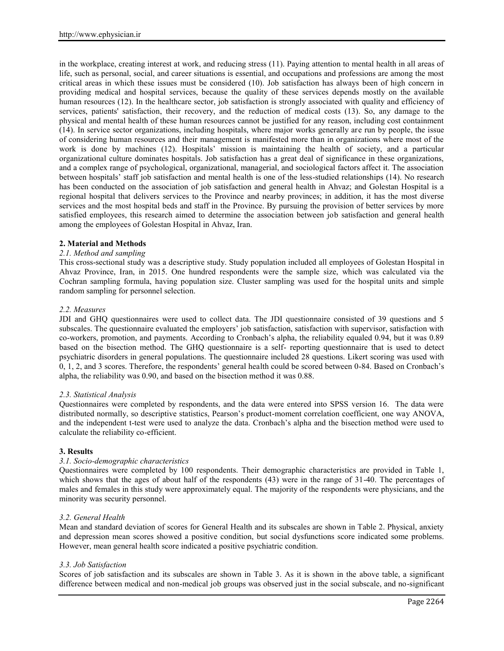in the workplace, creating interest at work, and reducing stress (11). Paying attention to mental health in all areas of life, such as personal, social, and career situations is essential, and occupations and professions are among the most critical areas in which these issues must be considered (10). Job satisfaction has always been of high concern in providing medical and hospital services, because the quality of these services depends mostly on the available human resources (12). In the healthcare sector, job satisfaction is strongly associated with quality and efficiency of services, patients' satisfaction, their recovery, and the reduction of medical costs (13). So, any damage to the physical and mental health of these human resources cannot be justified for any reason, including cost containment (14). In service sector organizations, including hospitals, where major works generally are run by people, the issue of considering human resources and their management is manifested more than in organizations where most of the work is done by machines (12). Hospitals' mission is maintaining the health of society, and a particular organizational culture dominates hospitals. Job satisfaction has a great deal of significance in these organizations, and a complex range of psychological, organizational, managerial, and sociological factors affect it. The association between hospitals' staff job satisfaction and mental health is one of the less-studied relationships (14). No research has been conducted on the association of job satisfaction and general health in Ahvaz; and Golestan Hospital is a regional hospital that delivers services to the Province and nearby provinces; in addition, it has the most diverse services and the most hospital beds and staff in the Province. By pursuing the provision of better services by more satisfied employees, this research aimed to determine the association between job satisfaction and general health among the employees of Golestan Hospital in Ahvaz, Iran.

# **2. Material and Methods**

# *2.1. Method and sampling*

This cross-sectional study was a descriptive study. Study population included all employees of Golestan Hospital in Ahvaz Province, Iran, in 2015. One hundred respondents were the sample size, which was calculated via the Cochran sampling formula, having population size. Cluster sampling was used for the hospital units and simple random sampling for personnel selection.

# *2.2. Measures*

JDI and GHQ questionnaires were used to collect data. The JDI questionnaire consisted of 39 questions and 5 subscales. The questionnaire evaluated the employers' job satisfaction, satisfaction with supervisor, satisfaction with co-workers, promotion, and payments. According to Cronbach's alpha, the reliability equaled 0.94, but it was 0.89 based on the bisection method. The GHQ questionnaire is a self- reporting questionnaire that is used to detect psychiatric disorders in general populations. The questionnaire included 28 questions. Likert scoring was used with 0, 1, 2, and 3 scores. Therefore, the respondents' general health could be scored between 0-84. Based on Cronbach's alpha, the reliability was 0.90, and based on the bisection method it was 0.88.

# *2.3. Statistical Analysis*

Questionnaires were completed by respondents, and the data were entered into SPSS version 16. The data were distributed normally, so descriptive statistics, Pearson's product-moment correlation coefficient, one way ANOVA, and the independent t-test were used to analyze the data. Cronbach's alpha and the bisection method were used to calculate the reliability co-efficient.

# **3. Results**

# *3.1. Socio-demographic characteristics*

Questionnaires were completed by 100 respondents. Their demographic characteristics are provided in Table 1, which shows that the ages of about half of the respondents (43) were in the range of 31-40. The percentages of males and females in this study were approximately equal. The majority of the respondents were physicians, and the minority was security personnel.

# *3.2. General Health*

Mean and standard deviation of scores for General Health and its subscales are shown in Table 2. Physical, anxiety and depression mean scores showed a positive condition, but social dysfunctions score indicated some problems. However, mean general health score indicated a positive psychiatric condition.

# *3.3. Job Satisfaction*

Scores of job satisfaction and its subscales are shown in Table 3. As it is shown in the above table, a significant difference between medical and non-medical job groups was observed just in the social subscale, and no-significant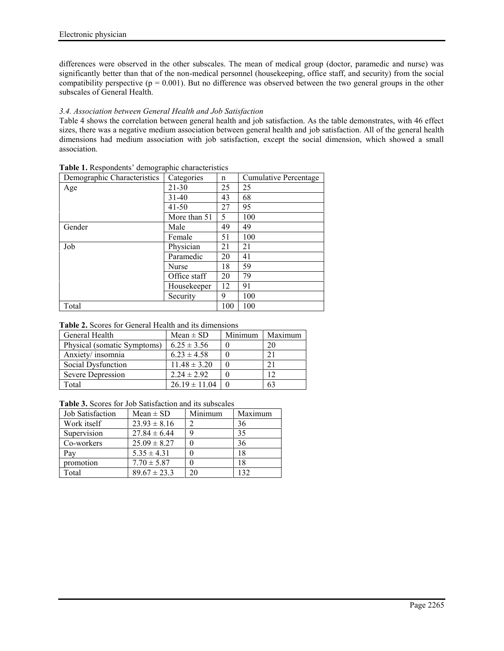differences were observed in the other subscales. The mean of medical group (doctor, paramedic and nurse) was significantly better than that of the non-medical personnel (housekeeping, office staff, and security) from the social compatibility perspective ( $p = 0.001$ ). But no difference was observed between the two general groups in the other subscales of General Health.

# *3.4. Association between General Health and Job Satisfaction*

Table 4 shows the correlation between general health and job satisfaction. As the table demonstrates, with 46 effect sizes, there was a negative medium association between general health and job satisfaction. All of the general health dimensions had medium association with job satisfaction, except the social dimension, which showed a small association.

| Demographic Characteristics | Categories   | n   | Cumulative Percentage |
|-----------------------------|--------------|-----|-----------------------|
| Age                         | 21-30        | 25  | 25                    |
|                             | $31 - 40$    | 43  | 68                    |
|                             | $41 - 50$    | 27  | 95                    |
|                             | More than 51 | 5   | 100                   |
| Gender                      | Male         | 49  | 49                    |
|                             | Female       | 51  | 100                   |
| Job                         | Physician    | 21  | 21                    |
|                             | Paramedic    | 20  | 41                    |
|                             | <b>Nurse</b> | 18  | 59                    |
|                             | Office staff | 20  | 79                    |
|                             | Housekeeper  | 12  | 91                    |
|                             | Security     | 9   | 100                   |
| Total                       |              | 100 | 100                   |

**Table 1.** Respondents' demographic characteristics

### **Table 2.** Scores for General Health and its dimensions

| General Health              | Mean $\pm$ SD     | Minimum | Maximum |
|-----------------------------|-------------------|---------|---------|
| Physical (somatic Symptoms) | $6.25 \pm 3.56$   |         |         |
| Anxiety/insomnia            | $6.23 \pm 4.58$   |         |         |
| Social Dysfunction          | $11.48 \pm 3.20$  |         |         |
| Severe Depression           | $2.24 \pm 2.92$   |         |         |
| Total                       | $26.19 \pm 11.04$ |         | 63      |

| <b>Table 3.</b> Scores for Job Satisfaction and its subscales |  |
|---------------------------------------------------------------|--|
|---------------------------------------------------------------|--|

| <b>Job Satisfaction</b> | $Mean \pm SD$    | Minimum | Maximum |
|-------------------------|------------------|---------|---------|
| Work itself             | $23.93 \pm 8.16$ | ာ       | 36      |
| Supervision             | $27.84 \pm 6.44$ |         | 35      |
| Co-workers              | $25.09 \pm 8.27$ |         | 36      |
| Pay                     | $5.35 \pm 4.31$  |         | 18      |
| promotion               | $7.70 \pm 5.87$  |         | 18      |
| Total                   | $89.67 \pm 23.3$ | 20      | 132     |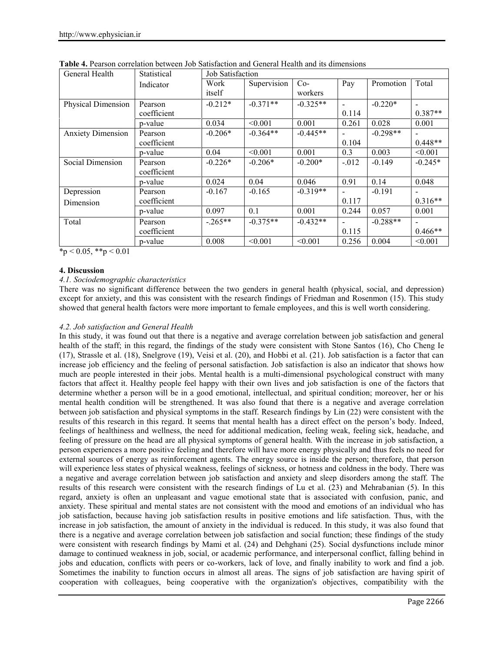| General Health           | Statistical | Job Satisfaction |             |            |          |            |                          |
|--------------------------|-------------|------------------|-------------|------------|----------|------------|--------------------------|
|                          | Indicator   | Work             | Supervision | $Co-$      | Pay      | Promotion  | Total                    |
|                          |             | itself           |             | workers    |          |            |                          |
| Physical Dimension       | Pearson     | $-0.212*$        | $-0.371**$  | $-0.325**$ |          | $-0.220*$  | $\overline{\phantom{a}}$ |
|                          | coefficient |                  |             |            | 0.114    |            | $0.387**$                |
|                          | p-value     | 0.034            | < 0.001     | 0.001      | 0.261    | 0.028      | 0.001                    |
| <b>Anxiety Dimension</b> | Pearson     | $-0.206*$        | $-0.364**$  | $-0.445**$ |          | $-0.298**$ |                          |
|                          | coefficient |                  |             |            | 0.104    |            | $0.448**$                |
|                          | p-value     | 0.04             | < 0.001     | 0.001      | 0.3      | 0.003      | < 0.001                  |
| Social Dimension         | Pearson     | $-0.226*$        | $-0.206*$   | $-0.200*$  | $-0.012$ | $-0.149$   | $-0.245*$                |
|                          | coefficient |                  |             |            |          |            |                          |
|                          | p-value     | 0.024            | 0.04        | 0.046      | 0.91     | 0.14       | 0.048                    |
| Depression               | Pearson     | $-0.167$         | $-0.165$    | $-0.319**$ |          | $-0.191$   |                          |
| Dimension                | coefficient |                  |             |            | 0.117    |            | $0.316**$                |
|                          | p-value     | 0.097            | 0.1         | 0.001      | 0.244    | 0.057      | 0.001                    |
| Total                    | Pearson     | $-.265**$        | $-0.375**$  | $-0.432**$ |          | $-0.288**$ |                          |
|                          | coefficient |                  |             |            | 0.115    |            | $0.466**$                |
|                          | p-value     | 0.008            | < 0.001     | < 0.001    | 0.256    | 0.004      | < 0.001                  |

**Table 4.** Pearson correlation between Job Satisfaction and General Health and its dimensions

 $*_{p}$  < 0.05,  $*_{p}$  < 0.01

# **4. Discussion**

# *4.1. Sociodemographic characteristics*

There was no significant difference between the two genders in general health (physical, social, and depression) except for anxiety, and this was consistent with the research findings of Friedman and Rosenmon (15). This study showed that general health factors were more important to female employees, and this is well worth considering.

# *4.2. Job satisfaction and General Health*

In this study, it was found out that there is a negative and average correlation between job satisfaction and general health of the staff; in this regard, the findings of the study were consistent with Stone Santos (16), Cho Cheng Ie (17), Strassle et al. (18), Snelgrove (19), Veisi et al. (20), and Hobbi et al. (21). Job satisfaction is a factor that can increase job efficiency and the feeling of personal satisfaction. Job satisfaction is also an indicator that shows how much are people interested in their jobs. Mental health is a multi-dimensional psychological construct with many factors that affect it. Healthy people feel happy with their own lives and job satisfaction is one of the factors that determine whether a person will be in a good emotional, intellectual, and spiritual condition; moreover, her or his mental health condition will be strengthened. It was also found that there is a negative and average correlation between job satisfaction and physical symptoms in the staff. Research findings by Lin (22) were consistent with the results of this research in this regard. It seems that mental health has a direct effect on the person's body. Indeed, feelings of healthiness and wellness, the need for additional medication, feeling weak, feeling sick, headache, and feeling of pressure on the head are all physical symptoms of general health. With the increase in job satisfaction, a person experiences a more positive feeling and therefore will have more energy physically and thus feels no need for external sources of energy as reinforcement agents. The energy source is inside the person; therefore, that person will experience less states of physical weakness, feelings of sickness, or hotness and coldness in the body. There was a negative and average correlation between job satisfaction and anxiety and sleep disorders among the staff. The results of this research were consistent with the research findings of Lu et al. (23) and Mehrabanian (5). In this regard, anxiety is often an unpleasant and vague emotional state that is associated with confusion, panic, and anxiety. These spiritual and mental states are not consistent with the mood and emotions of an individual who has job satisfaction, because having job satisfaction results in positive emotions and life satisfaction. Thus, with the increase in job satisfaction, the amount of anxiety in the individual is reduced. In this study, it was also found that there is a negative and average correlation between job satisfaction and social function; these findings of the study were consistent with research findings by Mami et al. (24) and Dehghani (25). Social dysfunctions include minor damage to continued weakness in job, social, or academic performance, and interpersonal conflict, falling behind in jobs and education, conflicts with peers or co-workers, lack of love, and finally inability to work and find a job. Sometimes the inability to function occurs in almost all areas. The signs of job satisfaction are having spirit of cooperation with colleagues, being cooperative with the organization's objectives, compatibility with the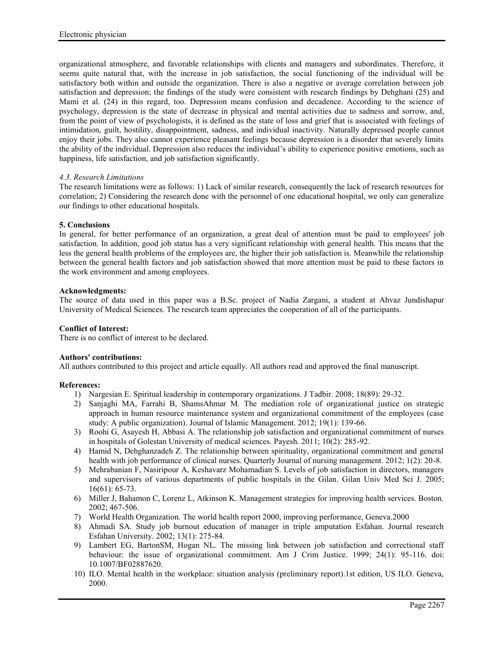organizational atmosphere, and favorable relationships with clients and managers and subordinates. Therefore, it seems quite natural that, with the increase in job satisfaction, the social functioning of the individual will be satisfactory both within and outside the organization. There is also a negative or average correlation between job satisfaction and depression; the findings of the study were consistent with research findings by Dehghani (25) and Mami et al. (24) in this regard, too. Depression means confusion and decadence. According to the science of psychology, depression is the state of decrease in physical and mental activities due to sadness and sorrow, and, from the point of view of psychologists, it is defined as the state of loss and grief that is associated with feelings of intimidation, guilt, hostility, disappointment, sadness, and individual inactivity. Naturally depressed people cannot enjoy their jobs. They also cannot experience pleasant feelings because depression is a disorder that severely limits the ability of the individual. Depression also reduces the individual's ability to experience positive emotions, such as happiness, life satisfaction, and job satisfaction significantly.

# *4.3. Research Limitations*

The research limitations were as follows: 1) Lack of similar research, consequently the lack of research resources for correlation; 2) Considering the research done with the personnel of one educational hospital, we only can generalize our findings to other educational hospitals.

#### **5. Conclusions**

In general, for better performance of an organization, a great deal of attention must be paid to employees' job satisfaction. In addition, good job status has a very significant relationship with general health. This means that the less the general health problems of the employees are, the higher their job satisfaction is. Meanwhile the relationship between the general health factors and job satisfaction showed that more attention must be paid to these factors in the work environment and among employees.

#### **Acknowledgments:**

The source of data used in this paper was a B.Sc. project of Nadia Zargani, a student at Ahvaz Jundishapur University of Medical Sciences. The research team appreciates the cooperation of all of the participants.

### **Conflict of Interest:**

There is no conflict of interest to be declared.

# **Authors' contributions:**

All authors contributed to this project and article equally. All authors read and approved the final manuscript.

# **References:**

- 1) Nargesian E. Spiritual leadership in contemporary organizations. J Tadbir. 2008; 18(89): 29-32.
- 2) Sanjaghi MA, Farrahi B, ShamsAhmar M. The mediation role of organizational justice on strategic approach in human resource maintenance system and organizational commitment of the employees (case study: A public organization). Journal of Islamic Management. 2012; 19(1): 139-66.
- 3) Roohi G, Asayesh H, Abbasi A. The relationship job satisfaction and organizational commitment of nurses in hospitals of Golestan University of medical sciences. Payesh. 2011; 10(2): 285-92.
- 4) Hamid N, Dehghanzadeh Z. The relationship between spirituality, organizational commitment and general health with job performance of clinical nurses. Quarterly Journal of nursing management. 2012; 1(2): 20-8.
- 5) Mehrabanian F, Nasiripour A, Keshavarz Mohamadian S. Levels of job satisfaction in directors, managers and supervisors of various departments of public hospitals in the Gilan. Gilan Univ Med Sci J. 2005; 16(61): 65-73.
- 6) Miller J, Bahamon C, Lorenz L, Atkinson K. Management strategies for improving health services. Boston. 2002; 467-506.
- 7) World Health Organization. The world health report 2000, improving performance, Geneva.2000
- 8) Ahmadi SA. Study job burnout education of manager in triple amputation Esfahan. Journal research Esfahan University. 2002; 13(1): 275-84.
- 9) Lambert EG, BartonSM, Hogan NL. The missing link between job satisfaction and correctional staff behaviour: the issue of organizational commitment. Am J Crim Justice. 1999; 24(1): 95-116. doi: 10.1007/BF02887620.
- 10) ILO. Mental health in the workplace: situation analysis (preliminary report).1st edition, US ILO. Geneva, 2000.